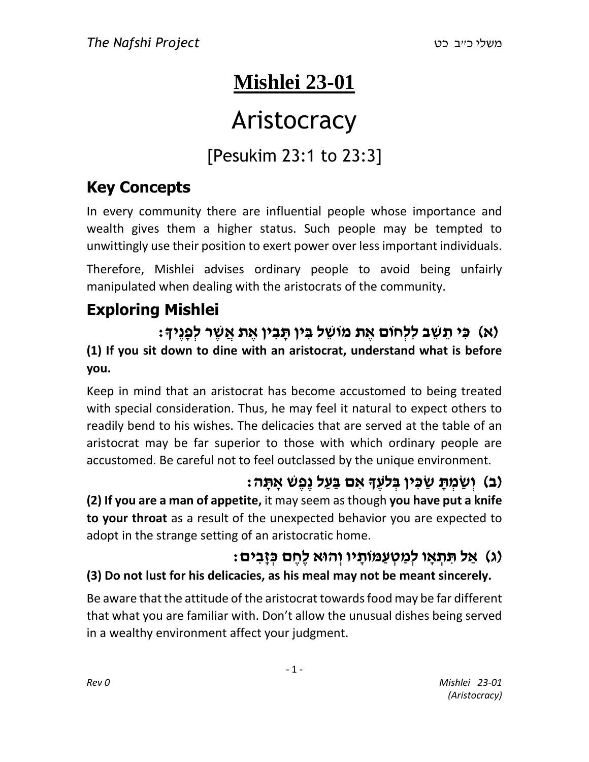## **Mishlei 23-01**

# **Aristocracy**

## [Pesukim 23:1 to 23:3]

## **Key Concepts**

In every community there are influential people whose importance and wealth gives them a higher status. Such people may be tempted to unwittingly use their position to exert power over less important individuals.

Therefore, Mishlei advises ordinary people to avoid being unfairly manipulated when dealing with the aristocrats of the community.

## **Exploring Mishlei**

**)א( כִּ י תֵ שֵ ב לִּלְחֹום אֶ ת מֹושֵ ל בִּ ין תָּ בִּ ין אֶ ת אֲ שֶ ר לְפָּנֶיָך: (1) If you sit down to dine with an aristocrat, understand what is before you.**

Keep in mind that an aristocrat has become accustomed to being treated with special consideration. Thus, he may feel it natural to expect others to readily bend to his wishes. The delicacies that are served at the table of an aristocrat may be far superior to those with which ordinary people are accustomed. Be careful not to feel outclassed by the unique environment.

#### **)ב( וְ שַׂ מְ תָּ שַׂ כִּ ין בְ ֹלעֶ ָך אִּ ם בַׂ עַׂ ל נֶפֶש אָּ תָּ ה:**

**(2) If you are a man of appetite,** it may seem as though **you have put a knife to your throat** as a result of the unexpected behavior you are expected to adopt in the strange setting of an aristocratic home.

## **)ג( אַׂ ל תִּ תְ אָּ ו לְמַׂ טְ עַׂ ּמֹותָּ יו וְ הּוא לֶחֶ ם כְ זָּבִּ ים:**

#### **(3) Do not lust for his delicacies, as his meal may not be meant sincerely.**

Be aware that the attitude of the aristocrat towards food may be far different that what you are familiar with. Don't allow the unusual dishes being served in a wealthy environment affect your judgment.